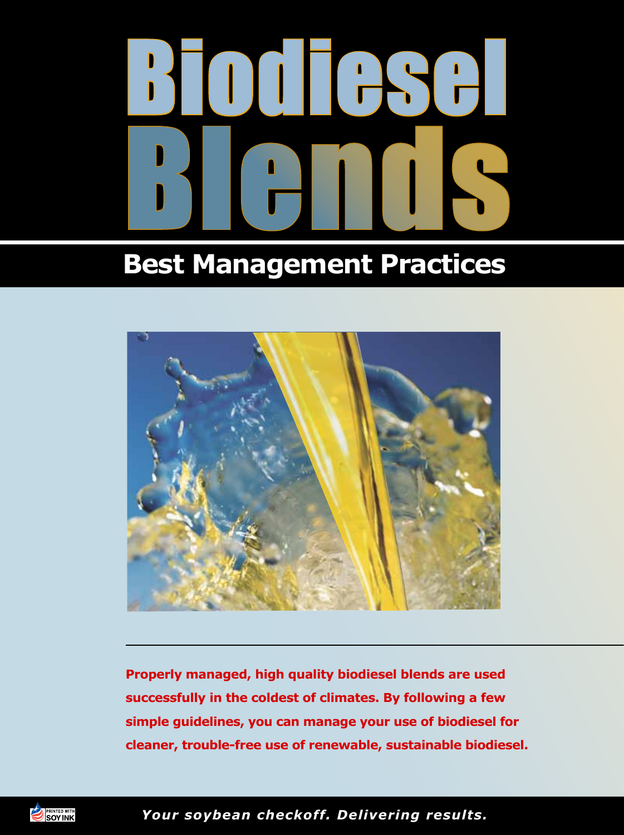# Biodiesel Blends

# **Best Management Practices**



**Properly managed, high quality biodiesel blends are used successfully in the coldest of climates. By following a few simple guidelines, you can manage your use of biodiesel for cleaner, trouble-free use of renewable, sustainable biodiesel.**



*Your soybean checkoff. Delivering results.*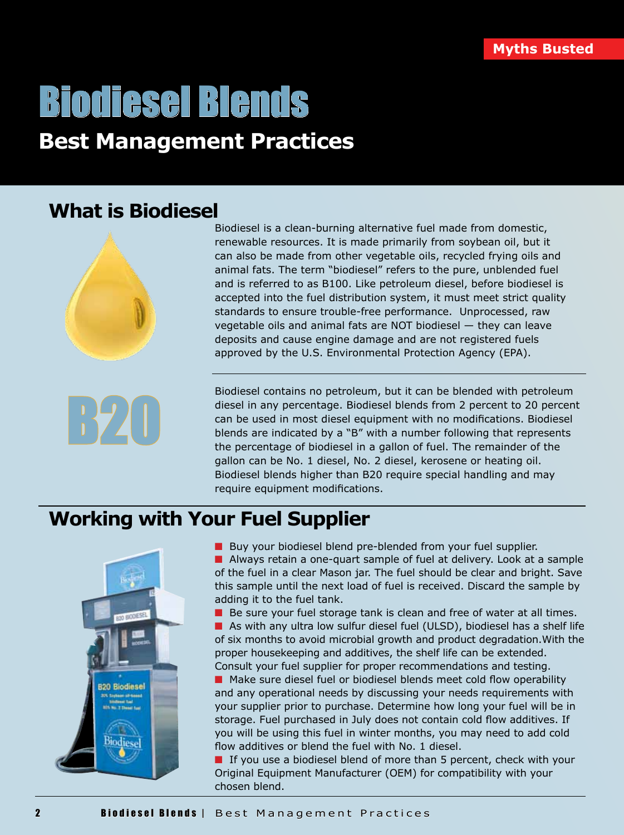# Biodiesel Blends

# **Best Management Practices**

# **What is Biodiesel**





Biodiesel is a clean-burning alternative fuel made from domestic, renewable resources. It is made primarily from soybean oil, but it can also be made from other vegetable oils, recycled frying oils and animal fats. The term "biodiesel" refers to the pure, unblended fuel and is referred to as B100. Like petroleum diesel, before biodiesel is accepted into the fuel distribution system, it must meet strict quality standards to ensure trouble-free performance. Unprocessed, raw vegetable oils and animal fats are NOT biodiesel — they can leave deposits and cause engine damage and are not registered fuels approved by the U.S. Environmental Protection Agency (EPA).

Biodiesel contains no petroleum, but it can be blended with petroleum diesel in any percentage. Biodiesel blends from 2 percent to 20 percent can be used in most diesel equipment with no modifications. Biodiesel blends are indicated by a "B" with a number following that represents the percentage of biodiesel in a gallon of fuel. The remainder of the gallon can be No. 1 diesel, No. 2 diesel, kerosene or heating oil. Biodiesel blends higher than B20 require special handling and may require equipment modifications.

# **Working with Your Fuel Supplier**



■ Buy your biodiesel blend pre-blended from your fuel supplier.

 $\blacksquare$  Always retain a one-quart sample of fuel at delivery. Look at a sample of the fuel in a clear Mason jar. The fuel should be clear and bright. Save this sample until the next load of fuel is received. Discard the sample by adding it to the fuel tank.

 $\blacksquare$  Be sure your fuel storage tank is clean and free of water at all times.  $\blacksquare$  As with any ultra low sulfur diesel fuel (ULSD), biodiesel has a shelf life of six months to avoid microbial growth and product degradation.With the proper housekeeping and additives, the shelf life can be extended. Consult your fuel supplier for proper recommendations and testing.

■ Make sure diesel fuel or biodiesel blends meet cold flow operability and any operational needs by discussing your needs requirements with your supplier prior to purchase. Determine how long your fuel will be in storage. Fuel purchased in July does not contain cold flow additives. If you will be using this fuel in winter months, you may need to add cold flow additives or blend the fuel with No. 1 diesel.

 $\blacksquare$  If you use a biodiesel blend of more than 5 percent, check with your Original Equipment Manufacturer (OEM) for compatibility with your chosen blend.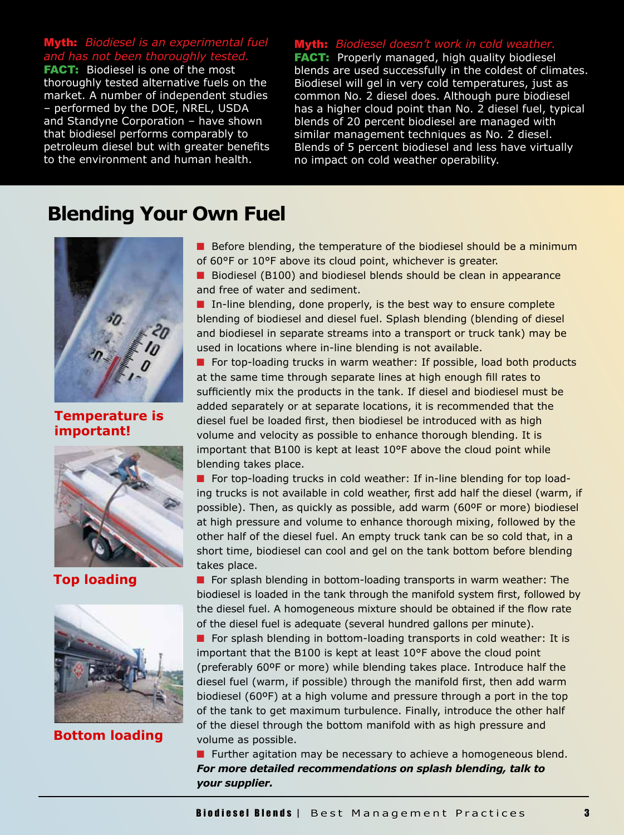## **th:** *Biodiesel is an experimental fuel* and has not been thoroughly te

FACT: Biodiesel is one of the most thoroughly tested alternative fuels on the market. A number of independent studies – performed by the DOE, NREL, USDA and Standyne Corporation – have shown that biodiesel performs comparably to petroleum diesel but with greater benefits to the environment and human health.

#### th: Biodiesel doesn't work in cold weather

**FACT:** Properly managed, high quality biodiesel blends are used successfully in the coldest of climates. Biodiesel will gel in very cold temperatures, just as common No. 2 diesel does. Although pure biodiesel has a higher cloud point than No. 2 diesel fuel, typical blends of 20 percent biodiesel are managed with similar management techniques as No. 2 diesel. Blends of 5 percent biodiesel and less have virtually no impact on cold weather operability.

# **Blending Your Own Fuel**



**Temperature is important!**



**Top loading** 



**Bottom loading** 

- **n** Before blending, the temperature of the biodiesel should be a minimum of 60°F or 10°F above its cloud point, whichever is greater.
- Biodiesel (B100) and biodiesel blends should be clean in appearance and free of water and sediment.

 $\blacksquare$  In-line blending, done properly, is the best way to ensure complete blending of biodiesel and diesel fuel. Splash blending (blending of diesel and biodiesel in separate streams into a transport or truck tank) may be used in locations where in-line blending is not available.

**n** For top-loading trucks in warm weather: If possible, load both products at the same time through separate lines at high enough fill rates to sufficiently mix the products in the tank. If diesel and biodiesel must be added separately or at separate locations, it is recommended that the diesel fuel be loaded first, then biodiesel be introduced with as high volume and velocity as possible to enhance thorough blending. It is important that B100 is kept at least 10°F above the cloud point while blending takes place.

**n** For top-loading trucks in cold weather: If in-line blending for top loading trucks is not available in cold weather, first add half the diesel (warm, if possible). Then, as quickly as possible, add warm (60ºF or more) biodiesel at high pressure and volume to enhance thorough mixing, followed by the other half of the diesel fuel. An empty truck tank can be so cold that, in a short time, biodiesel can cool and gel on the tank bottom before blending takes place.

**n** For splash blending in bottom-loading transports in warm weather: The biodiesel is loaded in the tank through the manifold system first, followed by the diesel fuel. A homogeneous mixture should be obtained if the flow rate of the diesel fuel is adequate (several hundred gallons per minute).

 $\blacksquare$  For splash blending in bottom-loading transports in cold weather: It is important that the B100 is kept at least 10°F above the cloud point (preferably 60ºF or more) while blending takes place. Introduce half the diesel fuel (warm, if possible) through the manifold first, then add warm biodiesel (60ºF) at a high volume and pressure through a port in the top of the tank to get maximum turbulence. Finally, introduce the other half of the diesel through the bottom manifold with as high pressure and volume as possible.

**n** Further agitation may be necessary to achieve a homogeneous blend. *For more detailed recommendations on splash blending, talk to your supplier.*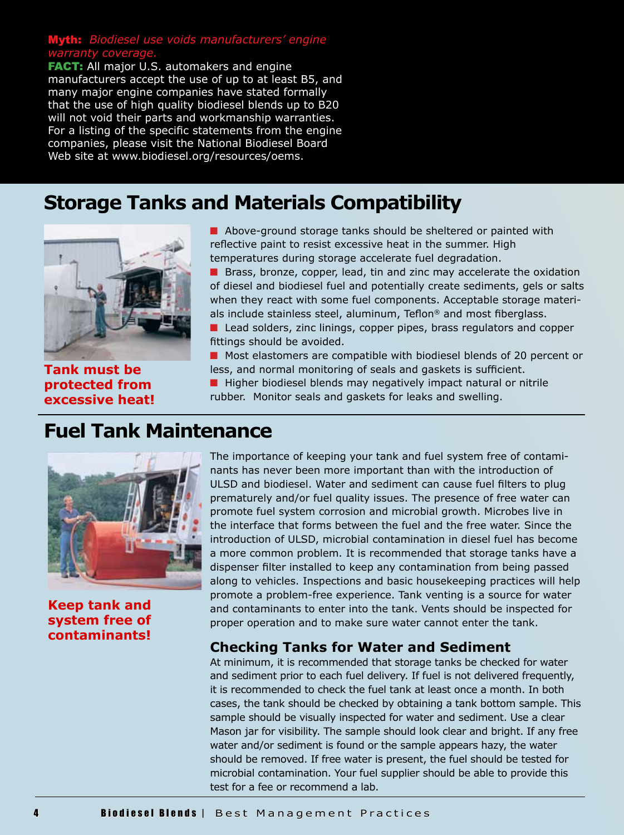#### Myth: *Biodiesel use voids manufacturers' engine warranty coverage.*

**FACT:** All major U.S. automakers and engine manufacturers accept the use of up to at least B5, and many major engine companies have stated formally that the use of high quality biodiesel blends up to B20 will not void their parts and workmanship warranties. For a listing of the specific statements from the engine companies, please visit the National Biodiesel Board Web site at www.biodiesel.org/resources/oems.

# **Storage Tanks and Materials Compatibility**



**Tank must be protected from excessive heat!**

 $\blacksquare$  Above-ground storage tanks should be sheltered or painted with reflective paint to resist excessive heat in the summer. High temperatures during storage accelerate fuel degradation.

Brass, bronze, copper, lead, tin and zinc may accelerate the oxidation of diesel and biodiesel fuel and potentially create sediments, gels or salts when they react with some fuel components. Acceptable storage materials include stainless steel, aluminum, Teflon® and most fiberglass.

Lead solders, zinc linings, copper pipes, brass regulators and copper fittings should be avoided.

**n** Most elastomers are compatible with biodiesel blends of 20 percent or less, and normal monitoring of seals and gaskets is sufficient.

 $\blacksquare$  Higher biodiesel blends may negatively impact natural or nitrile rubber. Monitor seals and gaskets for leaks and swelling.

# **Fuel Tank Maintenance**



**Keep tank and system free of contaminants!**

The importance of keeping your tank and fuel system free of contaminants has never been more important than with the introduction of ULSD and biodiesel. Water and sediment can cause fuel filters to plug prematurely and/or fuel quality issues. The presence of free water can promote fuel system corrosion and microbial growth. Microbes live in the interface that forms between the fuel and the free water. Since the introduction of ULSD, microbial contamination in diesel fuel has become a more common problem. It is recommended that storage tanks have a dispenser filter installed to keep any contamination from being passed along to vehicles. Inspections and basic housekeeping practices will help promote a problem-free experience. Tank venting is a source for water and contaminants to enter into the tank. Vents should be inspected for proper operation and to make sure water cannot enter the tank.

## **Checking Tanks for Water and Sediment**

At minimum, it is recommended that storage tanks be checked for water and sediment prior to each fuel delivery. If fuel is not delivered frequently, it is recommended to check the fuel tank at least once a month. In both cases, the tank should be checked by obtaining a tank bottom sample. This sample should be visually inspected for water and sediment. Use a clear Mason jar for visibility. The sample should look clear and bright. If any free water and/or sediment is found or the sample appears hazy, the water should be removed. If free water is present, the fuel should be tested for microbial contamination. Your fuel supplier should be able to provide this test for a fee or recommend a lab.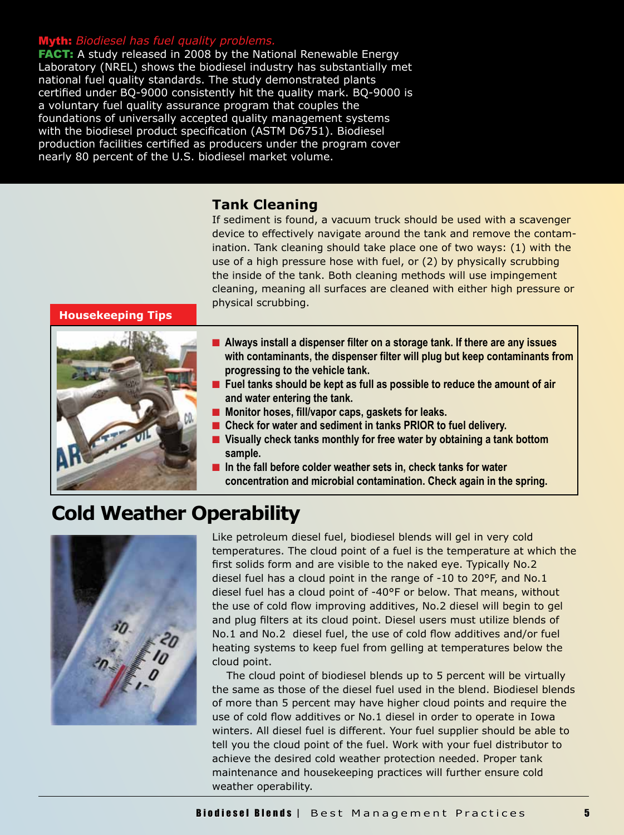#### Myth: *Biodiesel has fuel quality problems.*

**FACT:** A study released in 2008 by the National Renewable Energy Laboratory (NREL) shows the biodiesel industry has substantially met national fuel quality standards. The study demonstrated plants certified under BQ-9000 consistently hit the quality mark. BQ-9000 is a voluntary fuel quality assurance program that couples the foundations of universally accepted quality management systems with the biodiesel product specification (ASTM D6751). Biodiesel production facilities certified as producers under the program cover nearly 80 percent of the U.S. biodiesel market volume.

#### **Tank Cleaning**

If sediment is found, a vacuum truck should be used with a scavenger device to effectively navigate around the tank and remove the contamination. Tank cleaning should take place one of two ways: (1) with the use of a high pressure hose with fuel, or (2) by physically scrubbing the inside of the tank. Both cleaning methods will use impingement cleaning, meaning all surfaces are cleaned with either high pressure or physical scrubbing.

 **Housekeeping Tips**



- Always install a dispenser filter on a storage tank. If there are any issues **with contaminants, the dispenser filter will plug but keep contaminants from progressing to the vehicle tank.**
- Fuel tanks should be kept as full as possible to reduce the amount of air **and water entering the tank.**
- n **Monitor hoses, fill/vapor caps, gaskets for leaks.**
- Check for water and sediment in tanks PRIOR to fuel delivery.
- Visually check tanks monthly for free water by obtaining a tank bottom **sample.**
- **n** In the fall before colder weather sets in, check tanks for water **concentration and microbial contamination. Check again in the spring.**

# **Cold Weather Operability**



Like petroleum diesel fuel, biodiesel blends will gel in very cold temperatures. The cloud point of a fuel is the temperature at which the first solids form and are visible to the naked eye. Typically No.2 diesel fuel has a cloud point in the range of -10 to 20°F, and No.1 diesel fuel has a cloud point of -40°F or below. That means, without the use of cold flow improving additives, No.2 diesel will begin to gel and plug filters at its cloud point. Diesel users must utilize blends of No.1 and No.2 diesel fuel, the use of cold flow additives and/or fuel heating systems to keep fuel from gelling at temperatures below the cloud point.

 The cloud point of biodiesel blends up to 5 percent will be virtually the same as those of the diesel fuel used in the blend. Biodiesel blends of more than 5 percent may have higher cloud points and require the use of cold flow additives or No.1 diesel in order to operate in Iowa winters. All diesel fuel is different. Your fuel supplier should be able to tell you the cloud point of the fuel. Work with your fuel distributor to achieve the desired cold weather protection needed. Proper tank maintenance and housekeeping practices will further ensure cold weather operability.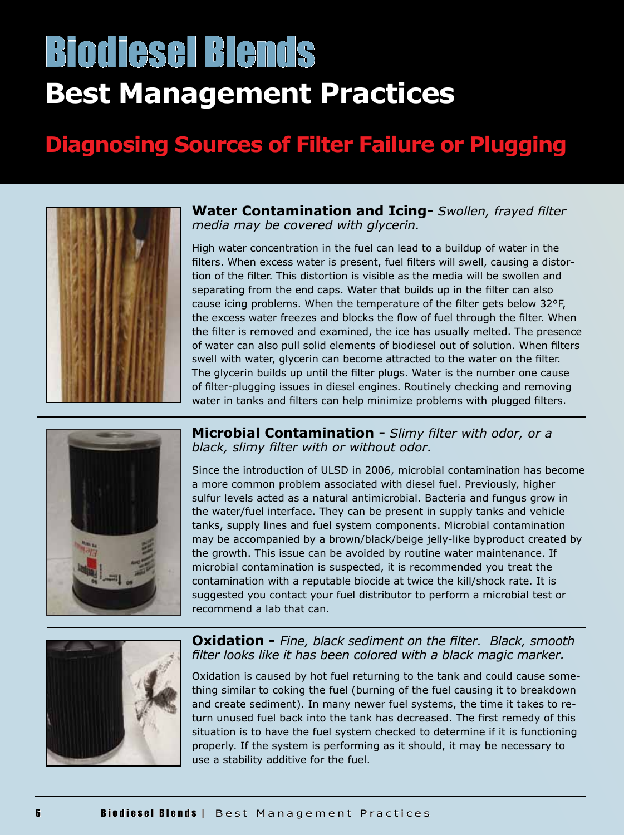# **Best Management Practices** Biodiesel Blends

# **Diagnosing Sources of Filter Failure or Plugging**



**Water Contamination and Icing-** *Swollen, frayed filter media may be covered with glycerin.*

High water concentration in the fuel can lead to a buildup of water in the filters. When excess water is present, fuel filters will swell, causing a distortion of the filter. This distortion is visible as the media will be swollen and separating from the end caps. Water that builds up in the filter can also cause icing problems. When the temperature of the filter gets below 32°F, the excess water freezes and blocks the flow of fuel through the filter. When the filter is removed and examined, the ice has usually melted. The presence of water can also pull solid elements of biodiesel out of solution. When filters swell with water, glycerin can become attracted to the water on the filter. The glycerin builds up until the filter plugs. Water is the number one cause of filter-plugging issues in diesel engines. Routinely checking and removing water in tanks and filters can help minimize problems with plugged filters.



**Microbial Contamination -** *Slimy filter with odor, or a black, slimy filter with or without odor.*

Since the introduction of ULSD in 2006, microbial contamination has become a more common problem associated with diesel fuel. Previously, higher sulfur levels acted as a natural antimicrobial. Bacteria and fungus grow in the water/fuel interface. They can be present in supply tanks and vehicle tanks, supply lines and fuel system components. Microbial contamination may be accompanied by a brown/black/beige jelly-like byproduct created by the growth. This issue can be avoided by routine water maintenance. If microbial contamination is suspected, it is recommended you treat the contamination with a reputable biocide at twice the kill/shock rate. It is suggested you contact your fuel distributor to perform a microbial test or recommend a lab that can.



**Oxidation -** *Fine, black sediment on the filter. Black, smooth filter looks like it has been colored with a black magic marker.*

Oxidation is caused by hot fuel returning to the tank and could cause something similar to coking the fuel (burning of the fuel causing it to breakdown and create sediment). In many newer fuel systems, the time it takes to return unused fuel back into the tank has decreased. The first remedy of this situation is to have the fuel system checked to determine if it is functioning properly. If the system is performing as it should, it may be necessary to use a stability additive for the fuel.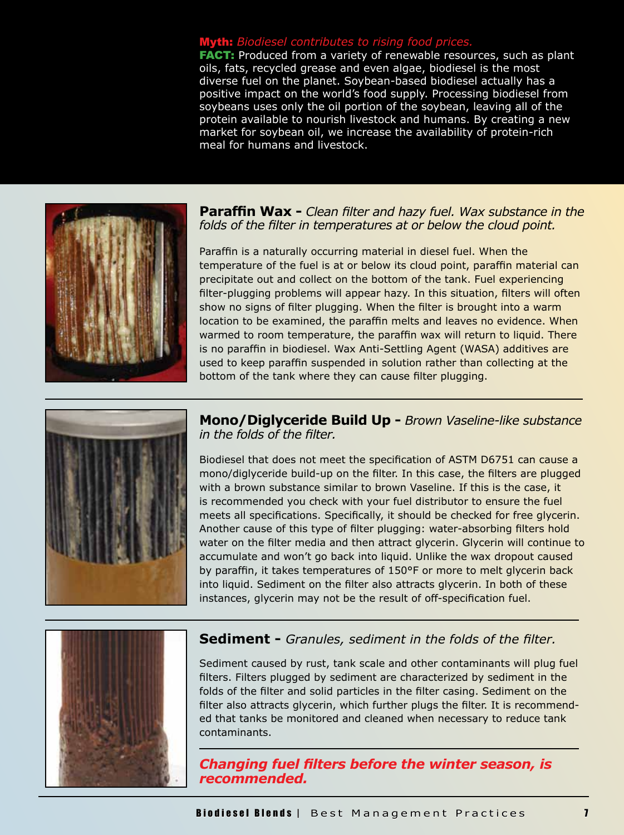#### **th:** *Biodiesel contributes to rising food prices.*

**FACT:** Produced from a variety of renewable resources, such as plant oils, fats, recycled grease and even algae, biodiesel is the most diverse fuel on the planet. Soybean-based biodiesel actually has a positive impact on the world's food supply. Processing biodiesel from soybeans uses only the oil portion of the soybean, leaving all of the protein available to nourish livestock and humans. By creating a new market for soybean oil, we increase the availability of protein-rich meal for humans and livestock.



**Paraffin Wax -** *Clean filter and hazy fuel. Wax substance in the folds of the filter in temperatures at or below the cloud point.*

Paraffin is a naturally occurring material in diesel fuel. When the temperature of the fuel is at or below its cloud point, paraffin material can precipitate out and collect on the bottom of the tank. Fuel experiencing filter-plugging problems will appear hazy. In this situation, filters will often show no signs of filter plugging. When the filter is brought into a warm location to be examined, the paraffin melts and leaves no evidence. When warmed to room temperature, the paraffin wax will return to liquid. There is no paraffin in biodiesel. Wax Anti-Settling Agent (WASA) additives are used to keep paraffin suspended in solution rather than collecting at the bottom of the tank where they can cause filter plugging.



**Mono/Diglyceride Build Up -** *Brown Vaseline-like substance in the folds of the filter.*

Biodiesel that does not meet the specification of ASTM D6751 can cause a mono/diglyceride build-up on the filter. In this case, the filters are plugged with a brown substance similar to brown Vaseline. If this is the case, it is recommended you check with your fuel distributor to ensure the fuel meets all specifications. Specifically, it should be checked for free glycerin. Another cause of this type of filter plugging: water-absorbing filters hold water on the filter media and then attract glycerin. Glycerin will continue to accumulate and won't go back into liquid. Unlike the wax dropout caused by paraffin, it takes temperatures of 150°F or more to melt glycerin back into liquid. Sediment on the filter also attracts glycerin. In both of these instances, glycerin may not be the result of off-specification fuel.



## **Sediment -** *Granules, sediment in the folds of the filter.*

Sediment caused by rust, tank scale and other contaminants will plug fuel filters. Filters plugged by sediment are characterized by sediment in the folds of the filter and solid particles in the filter casing. Sediment on the filter also attracts glycerin, which further plugs the filter. It is recommended that tanks be monitored and cleaned when necessary to reduce tank contaminants.

## *Changing fuel filters before the winter season, is recommended.*